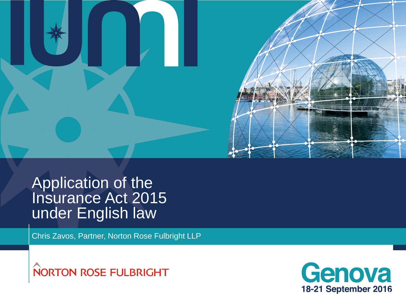

### Application of the Insurance Act 2015 under English law

Chris Zavos, Partner, Norton Rose Fulbright LLP



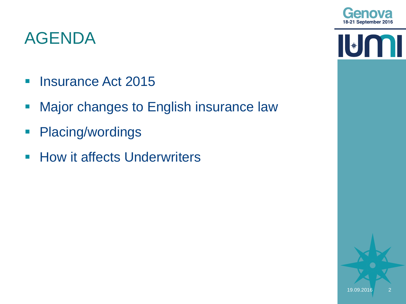

 $\mathbf{I}$ 

 $\begin{bmatrix} \ast \\ \ast \end{bmatrix}$ 

## AGENDA

- **Insurance Act 2015**
- **Major changes to English insurance law**
- **Placing/wordings**
- **How it affects Underwriters**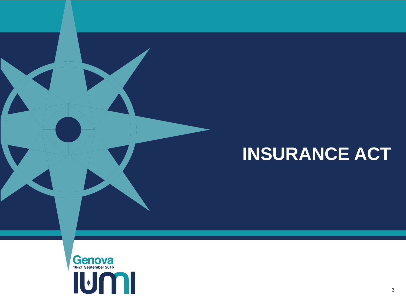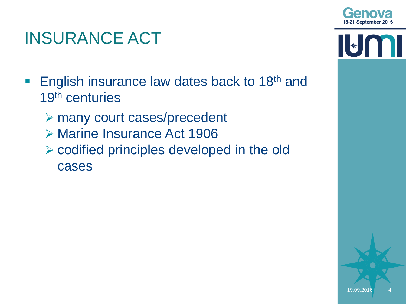

 $\left\| \cdot \right\|$ 

- **English insurance law dates back to 18th and** 19<sup>th</sup> centuries
	- many court cases/precedent
	- **▶ Marine Insurance Act 1906**
	- $\triangleright$  codified principles developed in the old cases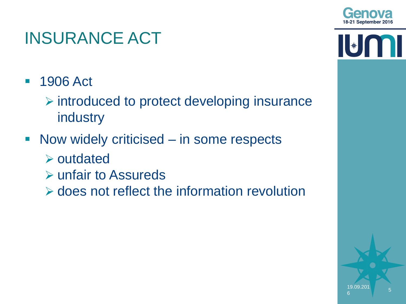

 $\|\|*\|$ 

5

19.09.201

6

- 1906 Act
	- $\triangleright$  introduced to protect developing insurance industry
- Now widely criticised in some respects
	- $\triangleright$  outdated
	- **▶ unfair to Assureds**
	- $\triangleright$  does not reflect the information revolution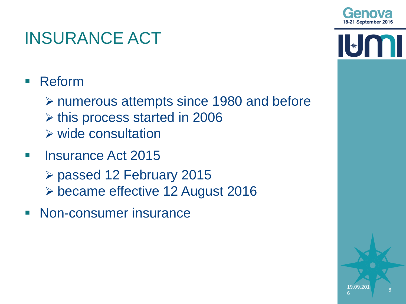

 $\|\ast\|$ 

# INSURANCE ACT

- **Reform** 
	- numerous attempts since 1980 and before
	- $\triangleright$  this process started in 2006
	- $\triangleright$  wide consultation
- **Insurance Act 2015** 
	- passed 12 February 2015
	- became effective 12 August 2016
- **Non-consumer insurance**

6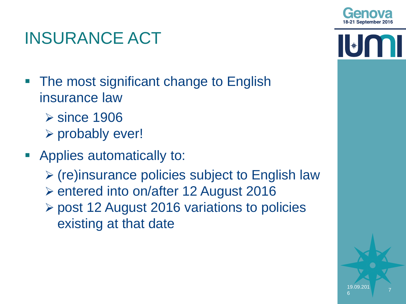

- **The most significant change to English** insurance law
	- **≻**since 1906
	- $\triangleright$  probably ever!
- Applies automatically to:
	- $\triangleright$  (re)insurance policies subject to English law
	- entered into on/after 12 August 2016
	- post 12 August 2016 variations to policies existing at that date

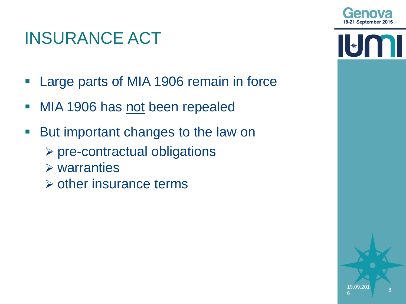

 $\left\| \ast \right\|$ 

## INSURANCE ACT

- **Large parts of MIA 1906 remain in force**
- MIA 1906 has not been repealed
- But important changes to the law on
	- $\triangleright$  pre-contractual obligations
	- $\triangleright$  warranties
	- $\triangleright$  other insurance terms



8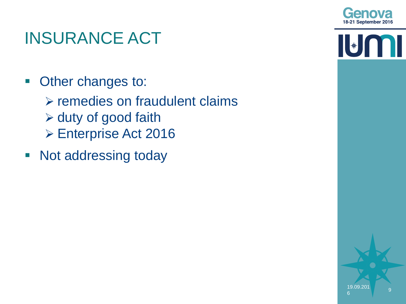

 $\begin{bmatrix} \ast \end{bmatrix}$ 

## INSURANCE ACT

- **Other changes to:** 
	- $\triangleright$  remedies on fraudulent claims  $\triangleright$  duty of good faith **► Enterprise Act 2016**
- Not addressing today

9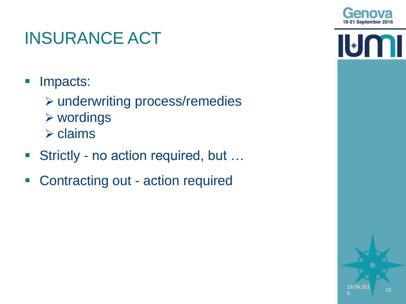

- **Impacts:** 
	- underwriting process/remedies
	- wordings
	- $\triangleright$  claims
- Strictly no action required, but ...
- Contracting out action required

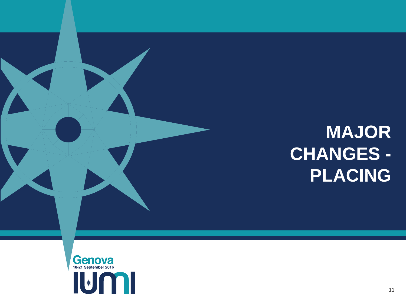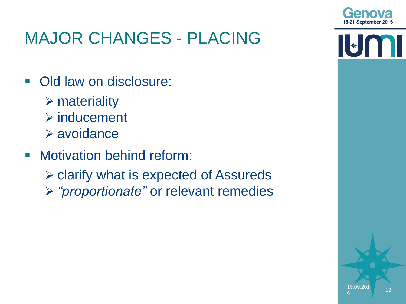

 $\|\|_*\|$ 

# MAJOR CHANGES - PLACING

- Old law on disclosure:
	- $\triangleright$  materiality
	- $\triangleright$  inducement
	- avoidance
- **Motivation behind reform:** 
	- $\triangleright$  clarify what is expected of Assureds
	- *"proportionate"* or relevant remedies

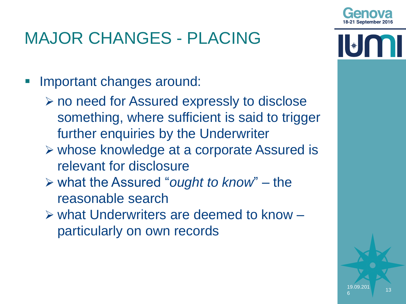Important changes around:

- no need for Assured expressly to disclose something, where sufficient is said to trigger further enquiries by the Underwriter
- whose knowledge at a corporate Assured is relevant for disclosure
- what the Assured "*ought to know*" the reasonable search
- what Underwriters are deemed to know particularly on own records



6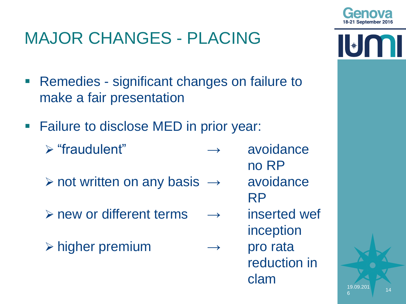- **Remedies significant changes on failure to** make a fair presentation
- **Failure to disclose MED in prior year:** 
	- $\triangleright$  "fraudulent"  $\rightarrow$  avoidance
	- $\triangleright$  not written on any basis  $\rightarrow$  avoidance
	- $\triangleright$  new or different terms  $\rightarrow$  inserted wef
	- $\triangleright$  higher premium  $\rightarrow$  pro rata

6



no RP

- RP
- inception

reduction in clam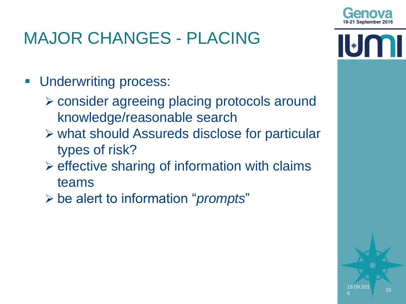- **Underwriting process:** 
	- consider agreeing placing protocols around knowledge/reasonable search
	- what should Assureds disclose for particular types of risk?
	- $\triangleright$  effective sharing of information with claims teams
	- be alert to information "*prompts*"

6

 $\|\|_*\|$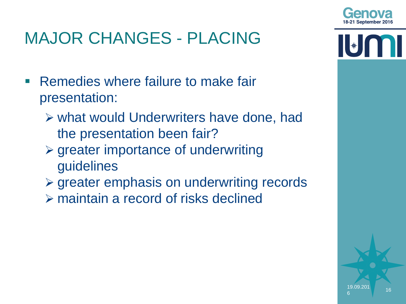- **Remedies where failure to make fair** presentation:
	- what would Underwriters have done, had the presentation been fair?
	- $\triangleright$  greater importance of underwriting guidelines
	- $\triangleright$  greater emphasis on underwriting records
	- maintain a record of risks declined

6



 $\|\ast\|$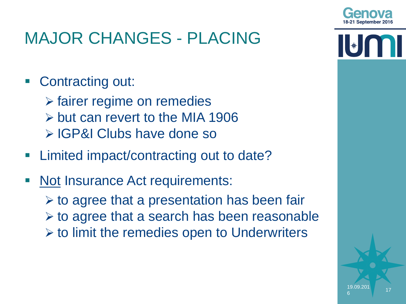

### ■ Contracting out:

- $\triangleright$  fairer regime on remedies
- but can revert to the MIA 1906
- **▷ IGP&I Clubs have done so**
- Limited impact/contracting out to date?
- Not Insurance Act requirements:
	- $\triangleright$  to agree that a presentation has been fair  $\triangleright$  to agree that a search has been reasonable  $\triangleright$  to limit the remedies open to Underwriters

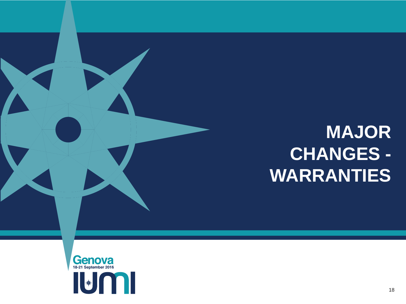# **MAJOR CHANGES - WARRANTIES**

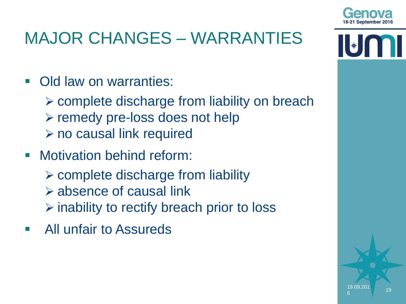

 $\|\|_*\|$ 

# MAJOR CHANGES – WARRANTIES

- Old law on warranties:
	- complete discharge from liability on breach  $\triangleright$  remedy pre-loss does not help **≻ no causal link required**
- **Motivation behind reform:** 
	- $\triangleright$  complete discharge from liability
	- $\triangleright$  absence of causal link
	- $\triangleright$  inability to rectify breach prior to loss
- All unfair to Assureds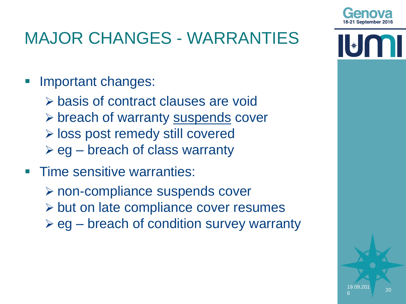

| ★

## MAJOR CHANGES - WARRANTIES

- Important changes:
	- basis of contract clauses are void
	- $\triangleright$  breach of warranty suspends cover
	- loss post remedy still covered
	- $\triangleright$  eg breach of class warranty
- **Time sensitive warranties:** 
	- non-compliance suspends cover
	- $\triangleright$  but on late compliance cover resumes
	- $\triangleright$  eg breach of condition survey warranty

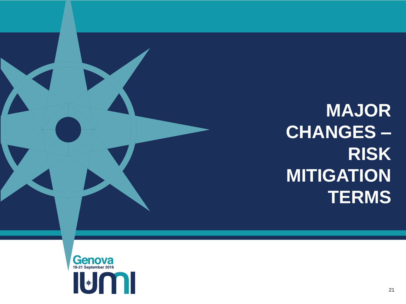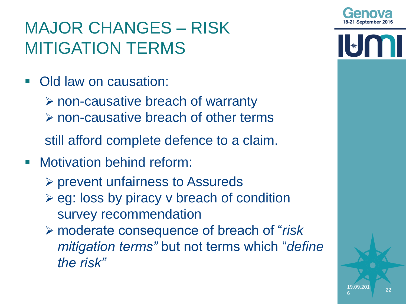# MAJOR CHANGES – RISK MITIGATION TERMS

• Old law on causation:

non-causative breach of warranty

non-causative breach of other terms

still afford complete defence to a claim.

- **Motivation behind reform:** 
	- prevent unfairness to Assureds
	- $\triangleright$  eg: loss by piracy v breach of condition survey recommendation
	- moderate consequence of breach of "*risk mitigation terms"* but not terms which "*define the risk"*



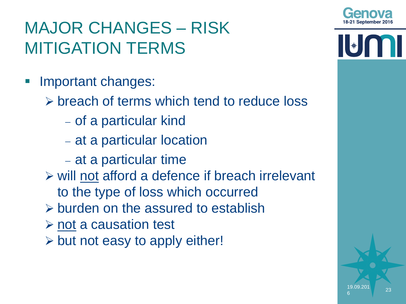$\|\ast\|$ 

- Important changes:
	- $\triangleright$  breach of terms which tend to reduce loss
		- of a particular kind
		- at a particular location
		- at a particular time
	- $\triangleright$  will not afford a defence if breach irrelevant to the type of loss which occurred
	- $\triangleright$  burden on the assured to establish
	- $\triangleright$  not a causation test
	- $\triangleright$  but not easy to apply either!

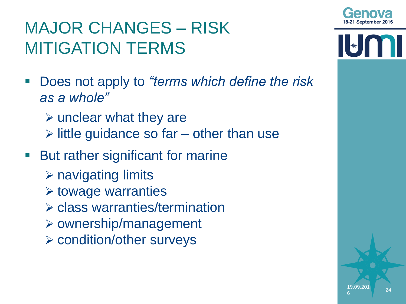

 $\|\|_*\|$ 

# MAJOR CHANGES – RISK MITIGATION TERMS

- Does not apply to *"terms which define the risk as a whole"*
	- $\triangleright$  unclear what they are
	- $\triangleright$  little guidance so far other than use
- **But rather significant for marine** 
	- $\triangleright$  navigating limits
	- $\triangleright$  towage warranties
	- class warranties/termination
	- $\triangleright$  ownership/management
	- condition/other surveys



6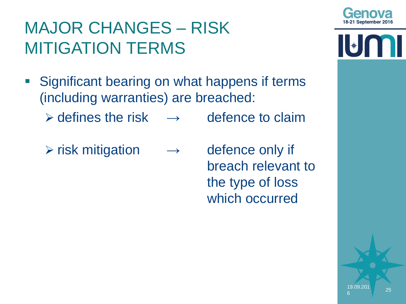

 $\|\|_*\|$ 

- **Significant bearing on what happens if terms** (including warranties) are breached:
	- $\triangleright$  defines the risk  $\rightarrow$  defence to claim
	- $\triangleright$  risk mitigation  $\rightarrow$  defence only if
- breach relevant to the type of loss which occurred

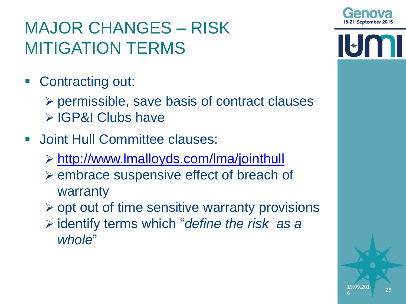

- Contracting out:
	- $\triangleright$  permissible, save basis of contract clauses **▷ IGP&I Clubs have**
- **Joint Hull Committee clauses:** 
	- <http://www.lmalloyds.com/lma/jointhull>
	- $\triangleright$  embrace suspensive effect of breach of warranty
	- $\triangleright$  opt out of time sensitive warranty provisions
	- identify terms which "*define the risk as a whole*"

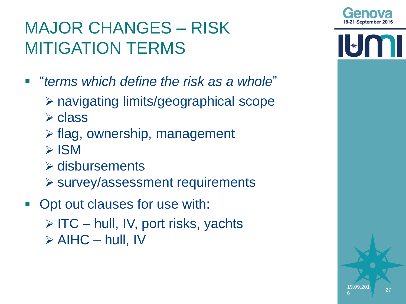- "*terms which define the risk as a whole*"
	- navigating limits/geographical scope
	- $\triangleright$  class
	- $\triangleright$  flag, ownership, management
	- $>$  ISM
	- $\triangleright$  disbursements
	- survey/assessment requirements
- **Opt out clauses for use with:** 
	- $\triangleright$  ITC hull, IV, port risks, yachts  $\triangleright$  AIHC – hull, IV



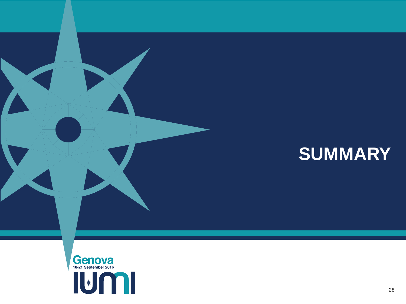# **SUMMARY**

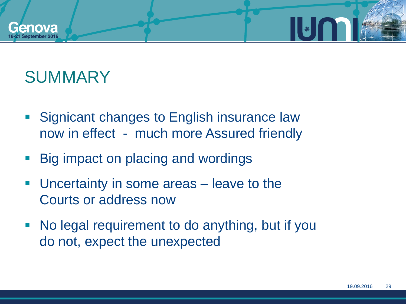

## **SUMMARY**

- **Signicant changes to English insurance law** now in effect - much more Assured friendly
- Big impact on placing and wordings
- Uncertainty in some areas leave to the Courts or address now
- No legal requirement to do anything, but if you do not, expect the unexpected